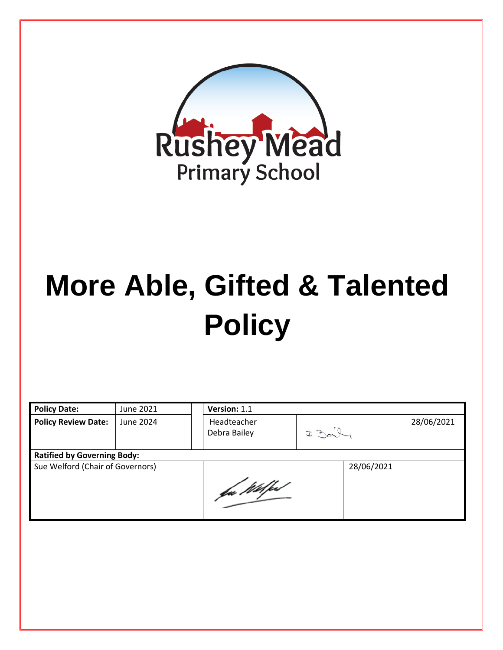

# **More Able, Gifted & Talented Policy**

| <b>Policy Date:</b>                | June 2021 | Version: 1.1                |      |            |            |
|------------------------------------|-----------|-----------------------------|------|------------|------------|
| <b>Policy Review Date:</b>         | June 2024 | Headteacher<br>Debra Bailey | D.30 |            | 28/06/2021 |
| <b>Ratified by Governing Body:</b> |           |                             |      |            |            |
| Sue Welford (Chair of Governors)   |           |                             |      | 28/06/2021 |            |
|                                    |           | fa Wilfed                   |      |            |            |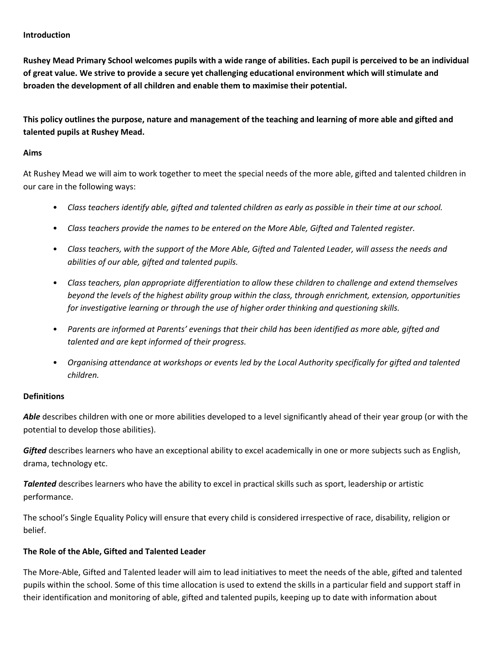#### **Introduction**

**Rushey Mead Primary School welcomes pupils with a wide range of abilities. Each pupil is perceived to be an individual of great value. We strive to provide a secure yet challenging educational environment which will stimulate and broaden the development of all children and enable them to maximise their potential.** 

**This policy outlines the purpose, nature and management of the teaching and learning of more able and gifted and talented pupils at Rushey Mead.** 

#### **Aims**

At Rushey Mead we will aim to work together to meet the special needs of the more able, gifted and talented children in our care in the following ways:

- *Class teachers identify able, gifted and talented children as early as possible in their time at our school.*
- *Class teachers provide the names to be entered on the More Able, Gifted and Talented register.*
- *Class teachers, with the support of the More Able, Gifted and Talented Leader, will assess the needs and abilities of our able, gifted and talented pupils.*
- *Class teachers, plan appropriate differentiation to allow these children to challenge and extend themselves beyond the levels of the highest ability group within the class, through enrichment, extension, opportunities for investigative learning or through the use of higher order thinking and questioning skills.*
- *Parents are informed at Parents' evenings that their child has been identified as more able, gifted and talented and are kept informed of their progress.*
- *Organising attendance at workshops or events led by the Local Authority specifically for gifted and talented children.*

#### **Definitions**

Able describes children with one or more abilities developed to a level significantly ahead of their year group (or with the potential to develop those abilities).

*Gifted* describes learners who have an exceptional ability to excel academically in one or more subjects such as English, drama, technology etc.

*Talented* describes learners who have the ability to excel in practical skills such as sport, leadership or artistic performance.

The school's Single Equality Policy will ensure that every child is considered irrespective of race, disability, religion or belief.

# **The Role of the Able, Gifted and Talented Leader**

The More-Able, Gifted and Talented leader will aim to lead initiatives to meet the needs of the able, gifted and talented pupils within the school. Some of this time allocation is used to extend the skills in a particular field and support staff in their identification and monitoring of able, gifted and talented pupils, keeping up to date with information about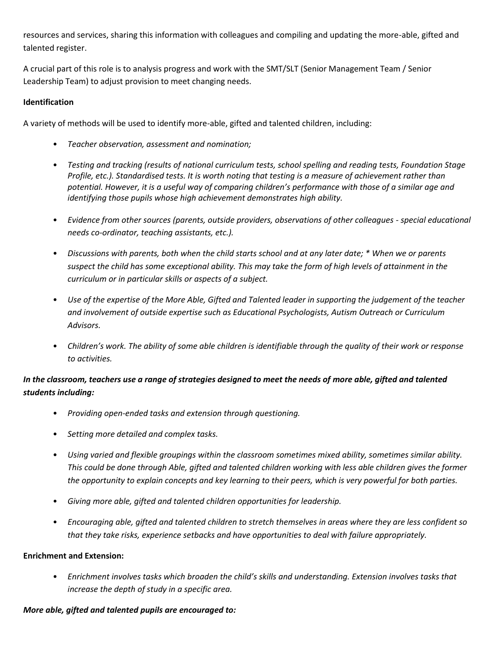resources and services, sharing this information with colleagues and compiling and updating the more-able, gifted and talented register.

A crucial part of this role is to analysis progress and work with the SMT/SLT (Senior Management Team / Senior Leadership Team) to adjust provision to meet changing needs.

# **Identification**

A variety of methods will be used to identify more-able, gifted and talented children, including:

- *Teacher observation, assessment and nomination;*
- *Testing and tracking (results of national curriculum tests, school spelling and reading tests, Foundation Stage Profile, etc.). Standardised tests. It is worth noting that testing is a measure of achievement rather than potential. However, it is a useful way of comparing children's performance with those of a similar age and identifying those pupils whose high achievement demonstrates high ability.*
- *Evidence from other sources (parents, outside providers, observations of other colleagues - special educational needs co-ordinator, teaching assistants, etc.).*
- *Discussions with parents, both when the child starts school and at any later date; \* When we or parents suspect the child has some exceptional ability. This may take the form of high levels of attainment in the curriculum or in particular skills or aspects of a subject.*
- *Use of the expertise of the More Able, Gifted and Talented leader in supporting the judgement of the teacher and involvement of outside expertise such as Educational Psychologists, Autism Outreach or Curriculum Advisors.*
- *Children's work. The ability of some able children is identifiable through the quality of their work or response to activities.*

# In the classroom, teachers use a range of strategies designed to meet the needs of more able, gifted and talented *students including:*

- *Providing open-ended tasks and extension through questioning.*
- *Setting more detailed and complex tasks.*
- *Using varied and flexible groupings within the classroom sometimes mixed ability, sometimes similar ability. This could be done through Able, gifted and talented children working with less able children gives the former the opportunity to explain concepts and key learning to their peers, which is very powerful for both parties.*
- *Giving more able, gifted and talented children opportunities for leadership.*
- *Encouraging able, gifted and talented children to stretch themselves in areas where they are less confident so that they take risks, experience setbacks and have opportunities to deal with failure appropriately.*

#### **Enrichment and Extension:**

• *Enrichment involves tasks which broaden the child's skills and understanding. Extension involves tasks that increase the depth of study in a specific area.* 

#### *More able, gifted and talented pupils are encouraged to:*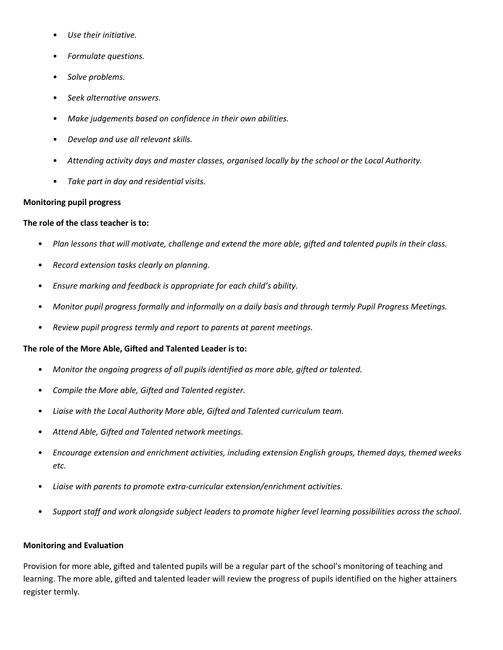- *Use their initiative.*
- *Formulate questions.*
- *Solve problems.*
- *Seek alternative answers.*
- *Make judgements based on confidence in their own abilities.*
- *Develop and use all relevant skills.*
- *Attending activity days and master classes, organised locally by the school or the Local Authority.*
- *Take part in day and residential visits.*

#### **Monitoring pupil progress**

#### **The role of the class teacher is to:**

- *Plan lessons that will motivate, challenge and extend the more able, gifted and talented pupils in their class.*
- *Record extension tasks clearly on planning.*
- *Ensure marking and feedback is appropriate for each child's ability.*
- *Monitor pupil progress formally and informally on a daily basis and through termly Pupil Progress Meetings.*
- *Review pupil progress termly and report to parents at parent meetings.*

#### **The role of the More Able, Gifted and Talented Leader is to:**

- *Monitor the ongoing progress of all pupils identified as more able, gifted or talented.*
- *Compile the More able, Gifted and Talented register.*
- *Liaise with the Local Authority More able, Gifted and Talented curriculum team.*
- *Attend Able, Gifted and Talented network meetings.*
- *Encourage extension and enrichment activities, including extension English groups, themed days, themed weeks etc.*
- *Liaise with parents to promote extra-curricular extension/enrichment activities.*
- *Support staff and work alongside subject leaders to promote higher level learning possibilities across the school.*

#### **Monitoring and Evaluation**

Provision for more able, gifted and talented pupils will be a regular part of the school's monitoring of teaching and learning. The more able, gifted and talented leader will review the progress of pupils identified on the higher attainers register termly.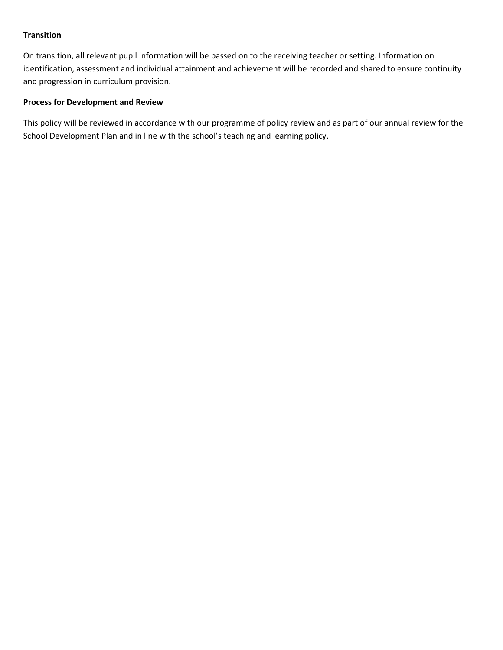# **Transition**

On transition, all relevant pupil information will be passed on to the receiving teacher or setting. Information on identification, assessment and individual attainment and achievement will be recorded and shared to ensure continuity and progression in curriculum provision.

### **Process for Development and Review**

This policy will be reviewed in accordance with our programme of policy review and as part of our annual review for the School Development Plan and in line with the school's teaching and learning policy.